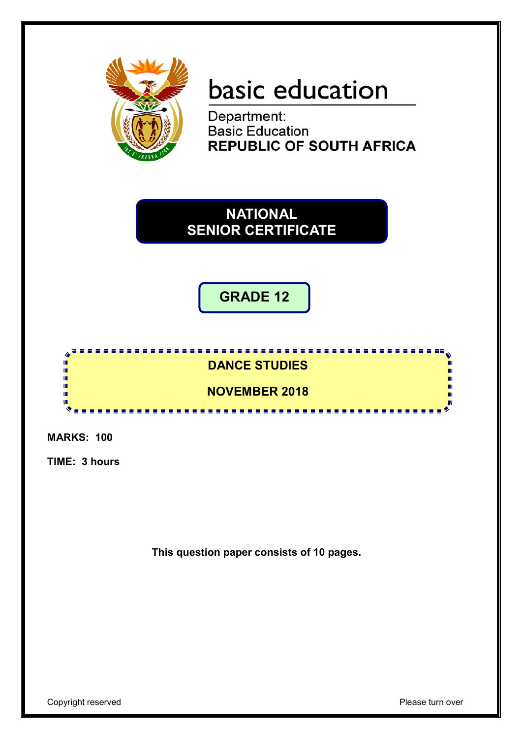

# basic education

Department: **Basic Education<br>REPUBLIC OF SOUTH AFRICA** 

**NATIONAL SENIOR CERTIFICATE**

**GRADE 12**



**MARKS: 100**

**TIME: 3 hours**

**This question paper consists of 10 pages.**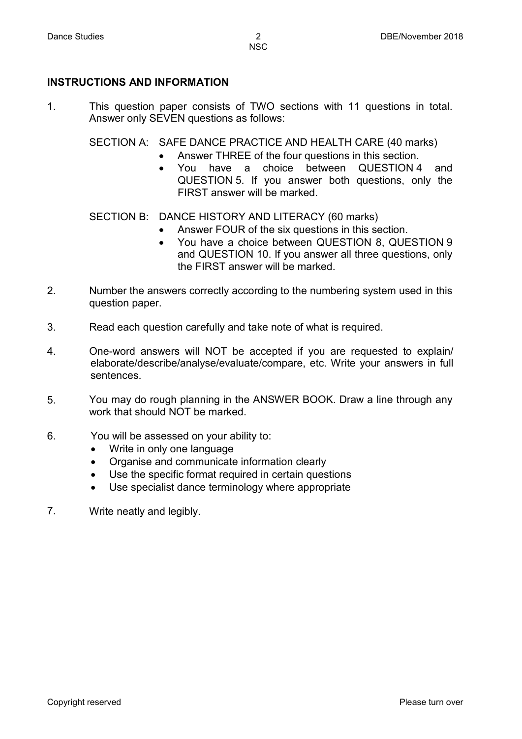#### **INSTRUCTIONS AND INFORMATION**

1. This question paper consists of TWO sections with 11 questions in total. Answer only SEVEN questions as follows:

SECTION A: SAFE DANCE PRACTICE AND HEALTH CARE (40 marks)

- Answer THREE of the four questions in this section.
	- You have a choice between QUESTION 4 and QUESTION 5. If you answer both questions, only the FIRST answer will be marked.

SECTION B: DANCE HISTORY AND LITERACY (60 marks)

- Answer FOUR of the six questions in this section.
- You have a choice between QUESTION 8, QUESTION 9 and QUESTION 10. If you answer all three questions, only the FIRST answer will be marked.
- 2. Number the answers correctly according to the numbering system used in this question paper.
- 3. Read each question carefully and take note of what is required.
- 4. One-word answers will NOT be accepted if you are requested to explain/ elaborate/describe/analyse/evaluate/compare, etc. Write your answers in full sentences.
- 5. You may do rough planning in the ANSWER BOOK. Draw a line through any work that should NOT be marked.
- 6. You will be assessed on your ability to:
	- Write in only one language
	- Organise and communicate information clearly
	- Use the specific format required in certain questions
	- Use specialist dance terminology where appropriate
- 7. Write neatly and legibly.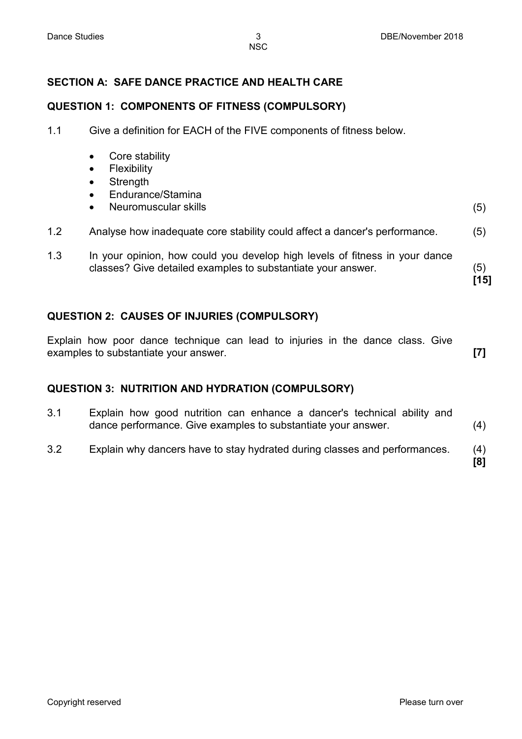# **SECTION A: SAFE DANCE PRACTICE AND HEALTH CARE**

#### **QUESTION 1: COMPONENTS OF FITNESS (COMPULSORY)**

- 1.1 Give a definition for EACH of the FIVE components of fitness below.
	- Core stability
	- Flexibility
	- Strength
	- Endurance/Stamina
	- Neuromuscular skills (5)
- 1.2 Analyse how inadequate core stability could affect a dancer's performance. (5)
- 1.3 In your opinion, how could you develop high levels of fitness in your dance classes? Give detailed examples to substantiate your answer. (5)

**QUESTION 2: CAUSES OF INJURIES (COMPULSORY)**

Explain how poor dance technique can lead to injuries in the dance class. Give examples to substantiate your answer. **[7]**

#### **QUESTION 3: NUTRITION AND HYDRATION (COMPULSORY)**

- 3.1 Explain how good nutrition can enhance a dancer's technical ability and dance performance. Give examples to substantiate your answer. (4)
- 3.2 Explain why dancers have to stay hydrated during classes and performances. (4)

**[15]**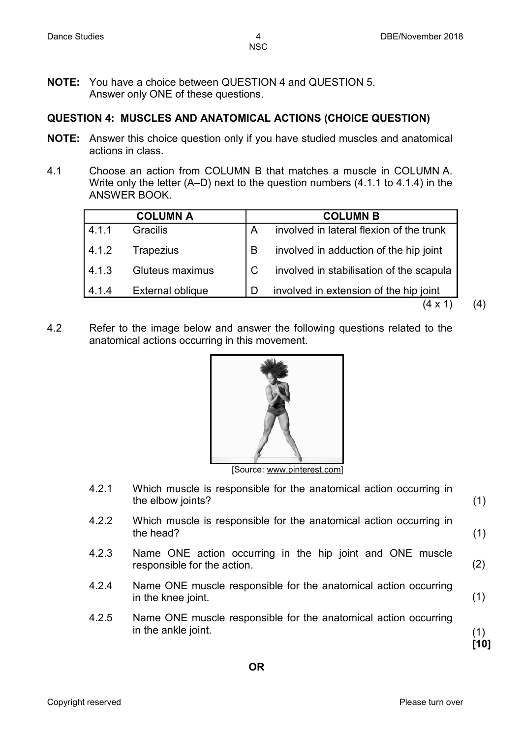**NOTE:** You have a choice between QUESTION 4 and QUESTION 5. Answer only ONE of these questions.

#### **QUESTION 4: MUSCLES AND ANATOMICAL ACTIONS (CHOICE QUESTION)**

- **NOTE:** Answer this choice question only if you have studied muscles and anatomical actions in class.
- 4.1 Choose an action from COLUMN B that matches a muscle in COLUMN A. Write only the letter (A–D) next to the question numbers (4.1.1 to 4.1.4) in the ANSWER BOOK.

|       | <b>COLUMN A</b>  |   | <b>COLUMN B</b>                          |
|-------|------------------|---|------------------------------------------|
| 4.1.1 | <b>Gracilis</b>  | A | involved in lateral flexion of the trunk |
| 4.1.2 | <b>Trapezius</b> | B | involved in adduction of the hip joint   |
| 4.1.3 | Gluteus maximus  |   | involved in stabilisation of the scapula |
| 4.1.4 | External oblique | D | involved in extension of the hip joint   |
|       |                  |   |                                          |

4.2 Refer to the image below and answer the following questions related to the anatomical actions occurring in this movement.



[Source: www.pinterest.com]

- 4.2.1 Which muscle is responsible for the anatomical action occurring in the elbow joints?
- 4.2.2 Which muscle is responsible for the anatomical action occurring in the head?
- 4.2.3 Name ONE action occurring in the hip joint and ONE muscle responsible for the action. (2)
- 4.2.4 Name ONE muscle responsible for the anatomical action occurring in the knee joint. (1)
- 4.2.5 Name ONE muscle responsible for the anatomical action occurring in the ankle joint.

(1) **[10]**

(1)

(1)

 $(4)$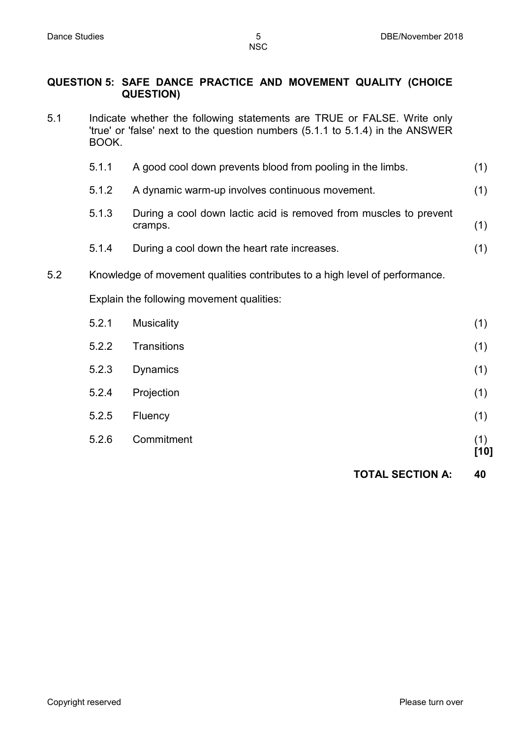#### **QUESTION 5: SAFE DANCE PRACTICE AND MOVEMENT QUALITY (CHOICE QUESTION)**

5.1 Indicate whether the following statements are TRUE or FALSE. Write only 'true' or 'false' next to the question numbers (5.1.1 to 5.1.4) in the ANSWER BOOK.

| 5.1.1 | A good cool down prevents blood from pooling in the limbs.        |  |
|-------|-------------------------------------------------------------------|--|
| 5.1.2 | A dynamic warm-up involves continuous movement.                   |  |
| E 1 2 | During a cool down lactic acid is removed from muscles to provent |  |

- 5.1.3 During a cool down lactic acid is removed from muscles to prevent cramps. (1)
- 5.1.4 During a cool down the heart rate increases. (1)
- 5.2 Knowledge of movement qualities contributes to a high level of performance.

Explain the following movement qualities:

| 5.2.1 | <b>Musicality</b>  | (1)         |
|-------|--------------------|-------------|
| 5.2.2 | <b>Transitions</b> | (1)         |
| 5.2.3 | <b>Dynamics</b>    | (1)         |
| 5.2.4 | Projection         | (1)         |
| 5.2.5 | Fluency            | (1)         |
| 5.2.6 | Commitment         | (1)<br>[10] |

**TOTAL SECTION A: 40**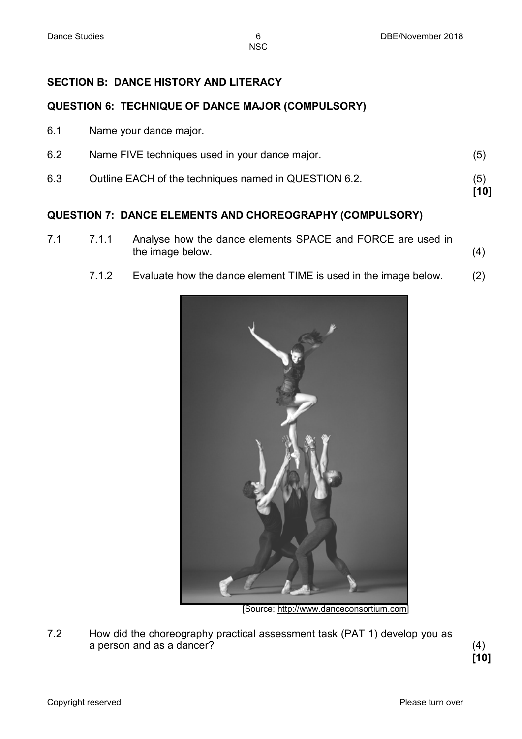### **SECTION B: DANCE HISTORY AND LITERACY**

#### **QUESTION 6: TECHNIQUE OF DANCE MAJOR (COMPULSORY)**

6.1 Name your dance major.

| 6.2 | Name FIVE techniques used in your dance major.        | (5)         |
|-----|-------------------------------------------------------|-------------|
| 6.3 | Outline EACH of the techniques named in QUESTION 6.2. | (5)<br>[10] |

#### **QUESTION 7: DANCE ELEMENTS AND CHOREOGRAPHY (COMPULSORY)**

7.1 7.1.1 Analyse how the dance elements SPACE and FORCE are used in the image below. (4)

#### 7.1.2 Evaluate how the dance element TIME is used in the image below. (2)



[Source: [http://www.danceconsortium.com\]](http://www.danceconsortium.com/)

7.2 How did the choreography practical assessment task (PAT 1) develop you as a person and as a dancer? (4)

**[10]**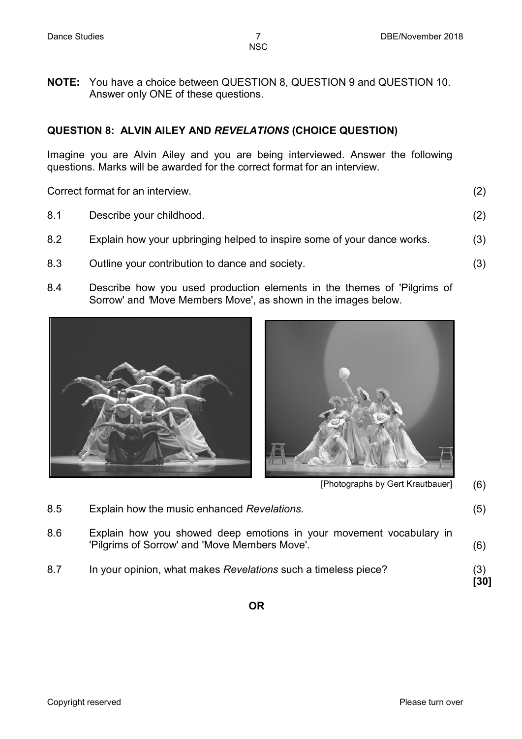**NOTE:** You have a choice between QUESTION 8, QUESTION 9 and QUESTION 10. Answer only ONE of these questions.

#### **QUESTION 8: ALVIN AILEY AND** *REVELATIONS* **(CHOICE QUESTION)**

Imagine you are Alvin Ailey and you are being interviewed. Answer the following questions. Marks will be awarded for the correct format for an interview.

Correct format for an interview. (2)

| 8.1 | Describe your childhood.                                                |     |
|-----|-------------------------------------------------------------------------|-----|
| 8.2 | Explain how your upbringing helped to inspire some of your dance works. | (3) |
| 8.3 | Outline your contribution to dance and society.                         |     |

8.4 Describe how you used production elements in the themes of 'Pilgrims of Sorrow' and *'*Move Members Move', as shown in the images below.





[Photographs by Gert Krautbauer] (6)

| 8.7 | In your opinion, what makes Revelations such a timeless piece?                                                       | (3)<br>[30] |
|-----|----------------------------------------------------------------------------------------------------------------------|-------------|
| 8.6 | Explain how you showed deep emotions in your movement vocabulary in<br>'Pilgrims of Sorrow' and 'Move Members Move'. | (6)         |
| 8.5 | Explain how the music enhanced Revelations.                                                                          | (5)         |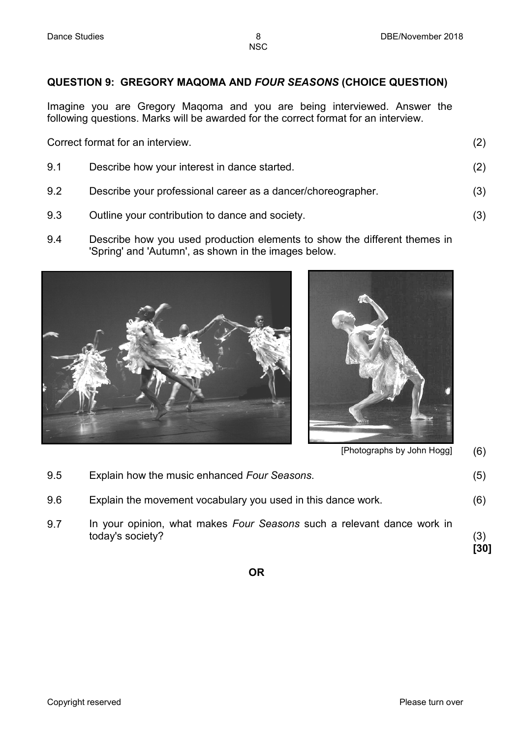### **QUESTION 9: GREGORY MAQOMA AND** *FOUR SEASONS* **(CHOICE QUESTION)**

Imagine you are Gregory Maqoma and you are being interviewed. Answer the following questions. Marks will be awarded for the correct format for an interview.

Correct format for an interview. (2)

| 9.1 | Describe how your interest in dance started.                 |     |
|-----|--------------------------------------------------------------|-----|
| 9.2 | Describe your professional career as a dancer/choreographer. | (3) |
| 9.3 | Outline your contribution to dance and society.              |     |

- 9.3 Outline your contribution to dance and society.
- 9.4 Describe how you used production elements to show the different themes in 'Spring' and 'Autumn', as shown in the images below.





[Photographs by John Hogg] (6)

| 9.7 | In your opinion, what makes Four Seasons such a relevant dance work in<br>today's society? | (3)<br>[30] |
|-----|--------------------------------------------------------------------------------------------|-------------|
| 9.5 | Explain how the music enhanced Four Seasons.                                               | (5)         |
| 9.6 | Explain the movement vocabulary you used in this dance work.                               | (6)         |

**OR**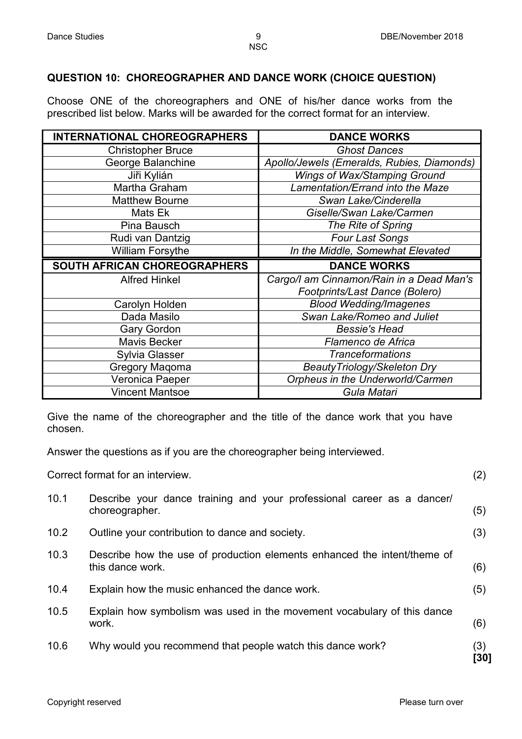### **QUESTION 10: CHOREOGRAPHER AND DANCE WORK (CHOICE QUESTION)**

Choose ONE of the choreographers and ONE of his/her dance works from the prescribed list below. Marks will be awarded for the correct format for an interview.

| <b>INTERNATIONAL CHOREOGRAPHERS</b> | <b>DANCE WORKS</b>                         |
|-------------------------------------|--------------------------------------------|
| <b>Christopher Bruce</b>            | <b>Ghost Dances</b>                        |
| George Balanchine                   | Apollo/Jewels (Emeralds, Rubies, Diamonds) |
| Jiři Kylián                         | Wings of Wax/Stamping Ground               |
| Martha Graham                       | Lamentation/Errand into the Maze           |
| <b>Matthew Bourne</b>               | Swan Lake/Cinderella                       |
| Mats Ek                             | Giselle/Swan Lake/Carmen                   |
| Pina Bausch                         | The Rite of Spring                         |
| Rudi van Dantzig                    | <b>Four Last Songs</b>                     |
| <b>William Forsythe</b>             | In the Middle, Somewhat Elevated           |
| SOUTH AFRICAN CHOREOGRAPHERS        | <b>DANCE WORKS</b>                         |
| <b>Alfred Hinkel</b>                | Cargo/I am Cinnamon/Rain in a Dead Man's   |
|                                     | Footprints/Last Dance (Bolero)             |
| Carolyn Holden                      | <b>Blood Wedding/Imagenes</b>              |
| Dada Masilo                         | Swan Lake/Romeo and Juliet                 |
| <b>Gary Gordon</b>                  | <b>Bessie's Head</b>                       |
| <b>Mavis Becker</b>                 | Flamenco de Africa                         |
| <b>Sylvia Glasser</b>               | <b>Tranceformations</b>                    |
| <b>Gregory Maqoma</b>               | BeautyTriology/Skeleton Dry                |
| Veronica Paeper                     | Orpheus in the Underworld/Carmen           |
| <b>Vincent Mantsoe</b>              |                                            |

Give the name of the choreographer and the title of the dance work that you have chosen.

Answer the questions as if you are the choreographer being interviewed.

|      | Correct format for an interview.                                                             | (2)         |
|------|----------------------------------------------------------------------------------------------|-------------|
| 10.1 | Describe your dance training and your professional career as a dancer/<br>choreographer.     | (5)         |
| 10.2 | Outline your contribution to dance and society.                                              | (3)         |
| 10.3 | Describe how the use of production elements enhanced the intent/theme of<br>this dance work. | (6)         |
| 10.4 | Explain how the music enhanced the dance work.                                               | (5)         |
| 10.5 | Explain how symbolism was used in the movement vocabulary of this dance<br>work.             | (6)         |
| 10.6 | Why would you recommend that people watch this dance work?                                   | (3)<br>[30] |